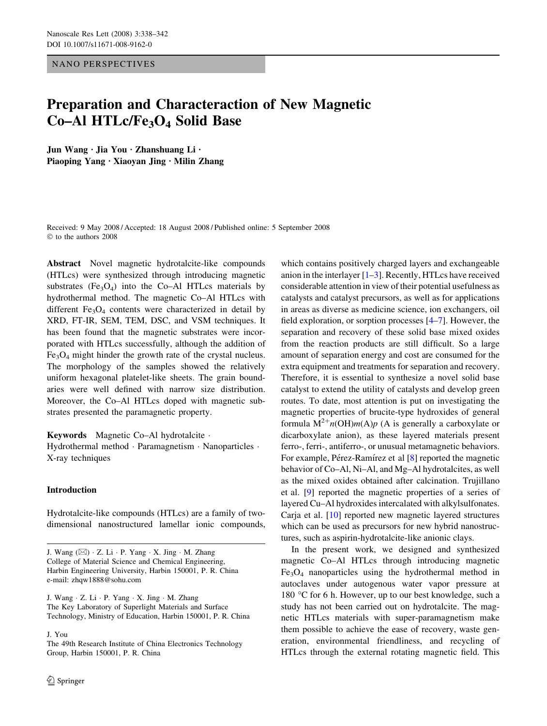NANO PERSPECTIVES

# Preparation and Characteraction of New Magnetic Co–Al HTLc/Fe<sub>3</sub>O<sub>4</sub> Solid Base

Jun Wang · Jia You · Zhanshuang Li · Piaoping Yang  $\cdot$  Xiaoyan Jing  $\cdot$  Milin Zhang

Received: 9 May 2008 / Accepted: 18 August 2008 / Published online: 5 September 2008  $©$  to the authors 2008

Abstract Novel magnetic hydrotalcite-like compounds (HTLcs) were synthesized through introducing magnetic substrates (Fe<sub>3</sub>O<sub>4</sub>) into the Co–Al HTLcs materials by hydrothermal method. The magnetic Co–Al HTLcs with different  $Fe<sub>3</sub>O<sub>4</sub>$  contents were characterized in detail by XRD, FT-IR, SEM, TEM, DSC, and VSM techniques. It has been found that the magnetic substrates were incorporated with HTLcs successfully, although the addition of Fe3O4 might hinder the growth rate of the crystal nucleus. The morphology of the samples showed the relatively uniform hexagonal platelet-like sheets. The grain boundaries were well defined with narrow size distribution. Moreover, the Co–Al HTLcs doped with magnetic substrates presented the paramagnetic property.

Keywords Magnetic Co–Al hydrotalcite · Hydrothermal method · Paramagnetism · Nanoparticles · X-ray techniques

### Introduction

Hydrotalcite-like compounds (HTLcs) are a family of twodimensional nanostructured lamellar ionic compounds,

J. Wang  $\cdot$  Z. Li  $\cdot$  P. Yang  $\cdot$  X. Jing  $\cdot$  M. Zhang The Key Laboratory of Superlight Materials and Surface Technology, Ministry of Education, Harbin 150001, P. R. China

J. You

The 49th Research Institute of China Electronics Technology Group, Harbin 150001, P. R. China

which contains positively charged layers and exchangeable anion in the interlayer  $[1-3]$ . Recently, HTLcs have received considerable attention in view of their potential usefulness as catalysts and catalyst precursors, as well as for applications in areas as diverse as medicine science, ion exchangers, oil field exploration, or sorption processes [\[4–7](#page-4-0)]. However, the separation and recovery of these solid base mixed oxides from the reaction products are still difficult. So a large amount of separation energy and cost are consumed for the extra equipment and treatments for separation and recovery. Therefore, it is essential to synthesize a novel solid base catalyst to extend the utility of catalysts and develop green routes. To date, most attention is put on investigating the magnetic properties of brucite-type hydroxides of general formula  $M^{2+}n(OH)m(A)p$  (A is generally a carboxylate or dicarboxylate anion), as these layered materials present ferro-, ferri-, antiferro-, or unusual metamagnetic behaviors. For example, Pérez-Ramírez et al [[8\]](#page-4-0) reported the magnetic behavior of Co–Al, Ni–Al, and Mg–Al hydrotalcites, as well as the mixed oxides obtained after calcination. Trujillano et al. [\[9](#page-4-0)] reported the magnetic properties of a series of layered Cu–Al hydroxides intercalated with alkylsulfonates. Carja et al. [\[10](#page-4-0)] reported new magnetic layered structures which can be used as precursors for new hybrid nanostructures, such as aspirin-hydrotalcite-like anionic clays.

In the present work, we designed and synthesized magnetic Co–Al HTLcs through introducing magnetic  $Fe<sub>3</sub>O<sub>4</sub>$  nanoparticles using the hydrothermal method in autoclaves under autogenous water vapor pressure at 180 °C for 6 h. However, up to our best knowledge, such a study has not been carried out on hydrotalcite. The magnetic HTLcs materials with super-paramagnetism make them possible to achieve the ease of recovery, waste generation, environmental friendliness, and recycling of HTLcs through the external rotating magnetic field. This

J. Wang  $(\boxtimes) \cdot Z$ . Li  $\cdot P$ . Yang  $\cdot X$ . Jing  $\cdot M$ . Zhang College of Material Science and Chemical Engineering, Harbin Engineering University, Harbin 150001, P. R. China e-mail: zhqw1888@sohu.com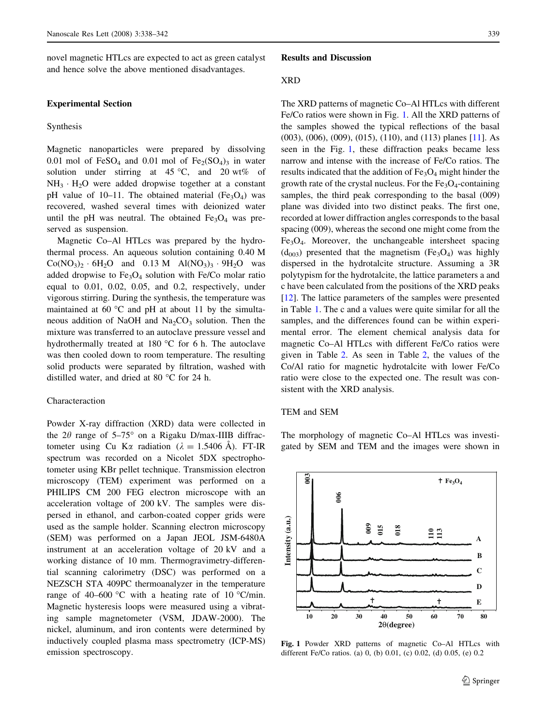novel magnetic HTLcs are expected to act as green catalyst and hence solve the above mentioned disadvantages.

#### Experimental Section

#### Synthesis

Magnetic nanoparticles were prepared by dissolving 0.01 mol of  $FeSO<sub>4</sub>$  and 0.01 mol of  $Fe<sub>2</sub>(SO<sub>4</sub>)<sub>3</sub>$  in water solution under stirring at  $45^{\circ}$ C, and  $20 \text{ wt\%}$  of  $NH_3 \cdot H_2O$  were added dropwise together at a constant pH value of 10–11. The obtained material  $(Fe<sub>3</sub>O<sub>4</sub>)$  was recovered, washed several times with deionized water until the pH was neutral. The obtained  $Fe<sub>3</sub>O<sub>4</sub>$  was preserved as suspension.

Magnetic Co–Al HTLcs was prepared by the hydrothermal process. An aqueous solution containing 0.40 M  $Co(NO_3)_2 \cdot 6H_2O$  and 0.13 M Al(NO<sub>3</sub>)<sub>3</sub>  $\cdot 9H_2O$  was added dropwise to  $Fe<sub>3</sub>O<sub>4</sub>$  solution with Fe/Co molar ratio equal to 0.01, 0.02, 0.05, and 0.2, respectively, under vigorous stirring. During the synthesis, the temperature was maintained at  $60^{\circ}$ C and pH at about 11 by the simultaneous addition of NaOH and  $Na<sub>2</sub>CO<sub>3</sub>$  solution. Then the mixture was transferred to an autoclave pressure vessel and hydrothermally treated at 180  $^{\circ}$ C for 6 h. The autoclave was then cooled down to room temperature. The resulting solid products were separated by filtration, washed with distilled water, and dried at 80  $^{\circ}$ C for 24 h.

#### Characteraction

Powder X-ray diffraction (XRD) data were collected in the  $2\theta$  range of  $5-75^\circ$  on a Rigaku D/max-IIIB diffractometer using Cu K $\alpha$  radiation ( $\lambda = 1.5406$  Å). FT-IR spectrum was recorded on a Nicolet 5DX spectrophotometer using KBr pellet technique. Transmission electron microscopy (TEM) experiment was performed on a PHILIPS CM 200 FEG electron microscope with an acceleration voltage of 200 kV. The samples were dispersed in ethanol, and carbon-coated copper grids were used as the sample holder. Scanning electron microscopy (SEM) was performed on a Japan JEOL JSM-6480A instrument at an acceleration voltage of 20 kV and a working distance of 10 mm. Thermogravimetry-differential scanning calorimetry (DSC) was performed on a NEZSCH STA 409PC thermoanalyzer in the temperature range of 40–600 °C with a heating rate of 10 °C/min. Magnetic hysteresis loops were measured using a vibrating sample magnetometer (VSM, JDAW-2000). The nickel, aluminum, and iron contents were determined by inductively coupled plasma mass spectrometry (ICP-MS) emission spectroscopy.

#### Results and Discussion

#### XRD

The XRD patterns of magnetic Co–Al HTLcs with different Fe/Co ratios were shown in Fig. 1. All the XRD patterns of the samples showed the typical reflections of the basal (003), (006), (009), (015), (110), and (113) planes [[11\]](#page-4-0). As seen in the Fig. 1, these diffraction peaks became less narrow and intense with the increase of Fe/Co ratios. The results indicated that the addition of  $Fe<sub>3</sub>O<sub>4</sub>$  might hinder the growth rate of the crystal nucleus. For the  $Fe<sub>3</sub>O<sub>4</sub>$ -containing samples, the third peak corresponding to the basal (009) plane was divided into two distinct peaks. The first one, recorded at lower diffraction angles corresponds to the basal spacing (009), whereas the second one might come from the Fe3O4. Moreover, the unchangeable intersheet spacing  $(d_{003})$  presented that the magnetism  $(Fe<sub>3</sub>O<sub>4</sub>)$  was highly dispersed in the hydrotalcite structure. Assuming a 3R polytypism for the hydrotalcite, the lattice parameters a and c have been calculated from the positions of the XRD peaks [\[12](#page-4-0)]. The lattice parameters of the samples were presented in Table [1.](#page-2-0) The c and a values were quite similar for all the samples, and the differences found can be within experimental error. The element chemical analysis data for magnetic Co–Al HTLcs with different Fe/Co ratios were given in Table [2](#page-2-0). As seen in Table [2](#page-2-0), the values of the Co/Al ratio for magnetic hydrotalcite with lower Fe/Co ratio were close to the expected one. The result was consistent with the XRD analysis.

#### TEM and SEM

The morphology of magnetic Co–Al HTLcs was investigated by SEM and TEM and the images were shown in



Fig. 1 Powder XRD patterns of magnetic Co–Al HTLcs with different Fe/Co ratios. (a) 0, (b) 0.01, (c) 0.02, (d) 0.05, (e) 0.2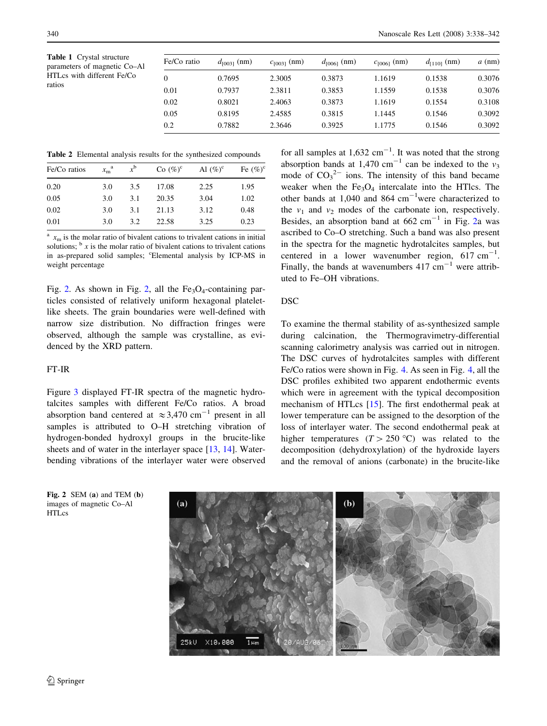<span id="page-2-0"></span>Table 1 Crystal structure parameters of magnetic Co–Al HTLcs with different Fe/Co ratios

| Fe/Co ratio | $d_{[0031]}$ (nm) | $c_{[003]}$ (nm) | $d_{[0061]}$ (nm) | $c_{[0061]}$ (nm) | $d_{[1101]}$ (nm) | $a$ (nm) |
|-------------|-------------------|------------------|-------------------|-------------------|-------------------|----------|
| 0           | 0.7695            | 2.3005           | 0.3873            | 1.1619            | 0.1538            | 0.3076   |
| 0.01        | 0.7937            | 2.3811           | 0.3853            | 1.1559            | 0.1538            | 0.3076   |
| 0.02        | 0.8021            | 2.4063           | 0.3873            | 1.1619            | 0.1554            | 0.3108   |
| 0.05        | 0.8195            | 2.4585           | 0.3815            | 1.1445            | 0.1546            | 0.3092   |
| 0.2         | 0.7882            | 2.3646           | 0.3925            | 1.1775            | 0.1546            | 0.3092   |

Table 2 Elemental analysis results for the synthesized compounds

| Fe/Co ratios | $x_{\rm m}^{\rm a}$ | $x^{\mathrm{b}}$ | Co $(\%)^c$ | Al $(\%)^c$ | Fe $(\%)^c$ |
|--------------|---------------------|------------------|-------------|-------------|-------------|
| 0.20         | 3.0                 | 3.5              | 17.08       | 2.25        | 1.95        |
| 0.05         | 3.0                 | 3.1              | 20.35       | 3.04        | 1.02        |
| 0.02         | 3.0                 | 3.1              | 21.13       | 3.12        | 0.48        |
| 0.01         | 3.0                 | 3.2              | 22.58       | 3.25        | 0.23        |
|              |                     |                  |             |             |             |

 $x<sub>m</sub>$  is the molar ratio of bivalent cations to trivalent cations in initial solutions;  $\frac{b}{x}$  is the molar ratio of bivalent cations to trivalent cations in as-prepared solid samples; "Elemental analysis by ICP-MS in weight percentage

Fig. 2. As shown in Fig. 2, all the  $Fe<sub>3</sub>O<sub>4</sub>$ -containing particles consisted of relatively uniform hexagonal plateletlike sheets. The grain boundaries were well-defined with narrow size distribution. No diffraction fringes were observed, although the sample was crystalline, as evidenced by the XRD pattern.

#### FT-IR

Figure [3](#page-3-0) displayed FT-IR spectra of the magnetic hydrotalcites samples with different Fe/Co ratios. A broad absorption band centered at  $\approx 3,470$  cm<sup>-1</sup> present in all samples is attributed to O–H stretching vibration of hydrogen-bonded hydroxyl groups in the brucite-like sheets and of water in the interlayer space [\[13](#page-4-0), [14\]](#page-4-0). Waterbending vibrations of the interlayer water were observed

for all samples at  $1,632$  cm<sup>-1</sup>. It was noted that the strong absorption bands at 1,470 cm<sup>-1</sup> can be indexed to the  $v_3$ mode of  $CO_3^2$  ions. The intensity of this band became weaker when the  $Fe<sub>3</sub>O<sub>4</sub>$  intercalate into the HTlcs. The other bands at  $1,040$  and  $864 \text{ cm}^{-1}$ were characterized to the  $v_1$  and  $v_2$  modes of the carbonate ion, respectively. Besides, an absorption band at  $662 \text{ cm}^{-1}$  in Fig. 2a was ascribed to Co–O stretching. Such a band was also present in the spectra for the magnetic hydrotalcites samples, but centered in a lower wavenumber region,  $617 \text{ cm}^{-1}$ . Finally, the bands at wavenumbers  $417 \text{ cm}^{-1}$  were attributed to Fe–OH vibrations.

#### **DSC**

To examine the thermal stability of as-synthesized sample during calcination, the Thermogravimetry-differential scanning calorimetry analysis was carried out in nitrogen. The DSC curves of hydrotalcites samples with different Fe/Co ratios were shown in Fig. [4.](#page-3-0) As seen in Fig. [4,](#page-3-0) all the DSC profiles exhibited two apparent endothermic events which were in agreement with the typical decomposition mechanism of HTLcs [\[15](#page-4-0)]. The first endothermal peak at lower temperature can be assigned to the desorption of the loss of interlayer water. The second endothermal peak at higher temperatures  $(T > 250 \degree C)$  was related to the decomposition (dehydroxylation) of the hydroxide layers and the removal of anions (carbonate) in the brucite-like



Fig. 2 SEM (a) and TEM (b) images of magnetic Co–Al HTLcs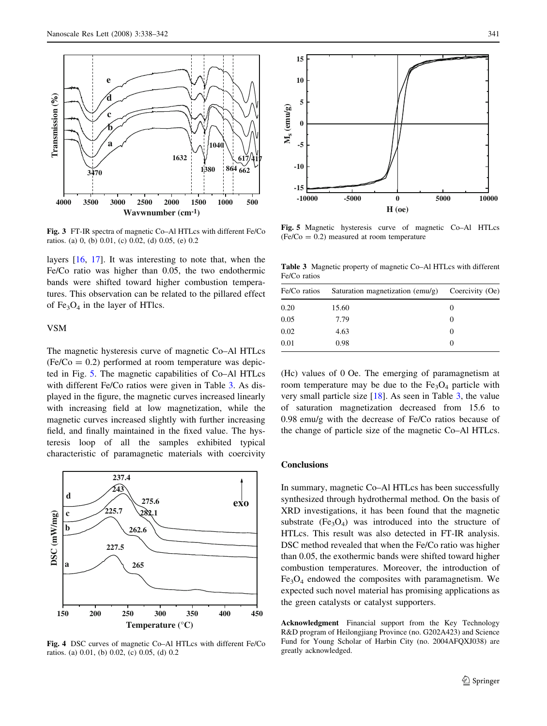<span id="page-3-0"></span>

Fig. 3 FT-IR spectra of magnetic Co–Al HTLcs with different Fe/Co ratios. (a) 0, (b) 0.01, (c) 0.02, (d) 0.05, (e) 0.2

layers [\[16](#page-4-0), [17](#page-4-0)]. It was interesting to note that, when the Fe/Co ratio was higher than 0.05, the two endothermic bands were shifted toward higher combustion temperatures. This observation can be related to the pillared effect of  $Fe<sub>3</sub>O<sub>4</sub>$  in the layer of HTlcs.

#### VSM

The magnetic hysteresis curve of magnetic Co–Al HTLcs  $(Fe/Co = 0.2)$  performed at room temperature was depicted in Fig. 5. The magnetic capabilities of Co–Al HTLcs with different Fe/Co ratios were given in Table 3. As displayed in the figure, the magnetic curves increased linearly with increasing field at low magnetization, while the magnetic curves increased slightly with further increasing field, and finally maintained in the fixed value. The hysteresis loop of all the samples exhibited typical characteristic of paramagnetic materials with coercivity



Fig. 4 DSC curves of magnetic Co–Al HTLcs with different Fe/Co ratios. (a) 0.01, (b) 0.02, (c) 0.05, (d) 0.2



Fig. 5 Magnetic hysteresis curve of magnetic Co–Al HTLcs  $(Fe/Co = 0.2)$  measured at room temperature

Table 3 Magnetic property of magnetic Co–Al HTLcs with different Fe/Co ratios

| Fe/Co ratios | Saturation magnetization (emu/g) | Coercivity (Oe) |  |
|--------------|----------------------------------|-----------------|--|
| 0.20         | 15.60                            | $\theta$        |  |
| 0.05         | 7.79                             | $\theta$        |  |
| 0.02         | 4.63                             | $\theta$        |  |
| 0.01         | 0.98                             | $\theta$        |  |

(Hc) values of 0 Oe. The emerging of paramagnetism at room temperature may be due to the  $Fe<sub>3</sub>O<sub>4</sub>$  particle with very small particle size [[18\]](#page-4-0). As seen in Table 3, the value of saturation magnetization decreased from 15.6 to 0.98 emu/g with the decrease of Fe/Co ratios because of the change of particle size of the magnetic Co–Al HTLcs.

## **Conclusions**

In summary, magnetic Co–Al HTLcs has been successfully synthesized through hydrothermal method. On the basis of XRD investigations, it has been found that the magnetic substrate  $(Fe<sub>3</sub>O<sub>4</sub>)$  was introduced into the structure of HTLcs. This result was also detected in FT-IR analysis. DSC method revealed that when the Fe/Co ratio was higher than 0.05, the exothermic bands were shifted toward higher combustion temperatures. Moreover, the introduction of  $Fe<sub>3</sub>O<sub>4</sub>$  endowed the composites with paramagnetism. We expected such novel material has promising applications as the green catalysts or catalyst supporters.

Acknowledgment Financial support from the Key Technology R&D program of Heilongjiang Province (no. G202A423) and Science Fund for Young Scholar of Harbin City (no. 2004AFQXJ038) are greatly acknowledged.